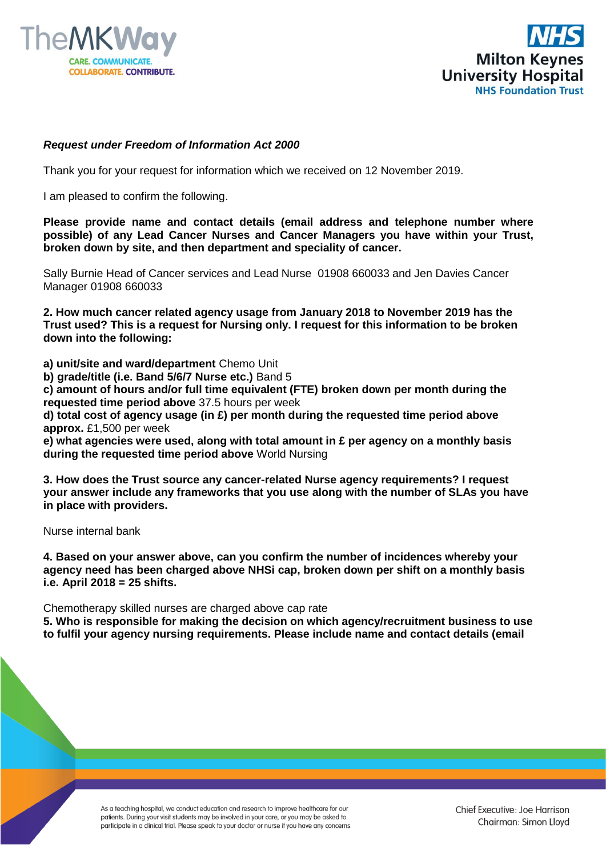



## *Request under Freedom of Information Act 2000*

Thank you for your request for information which we received on 12 November 2019.

I am pleased to confirm the following.

**Please provide name and contact details (email address and telephone number where possible) of any Lead Cancer Nurses and Cancer Managers you have within your Trust, broken down by site, and then department and speciality of cancer.** 

Sally Burnie Head of Cancer services and Lead Nurse 01908 660033 and Jen Davies Cancer Manager 01908 660033

**2. How much cancer related agency usage from January 2018 to November 2019 has the Trust used? This is a request for Nursing only. I request for this information to be broken down into the following:** 

**a) unit/site and ward/department** Chemo Unit

**b) grade/title (i.e. Band 5/6/7 Nurse etc.)** Band 5

**c) amount of hours and/or full time equivalent (FTE) broken down per month during the requested time period above** 37.5 hours per week

**d) total cost of agency usage (in £) per month during the requested time period above approx.** £1,500 per week

**e) what agencies were used, along with total amount in £ per agency on a monthly basis during the requested time period above** World Nursing

**3. How does the Trust source any cancer-related Nurse agency requirements? I request your answer include any frameworks that you use along with the number of SLAs you have in place with providers.** 

Nurse internal bank

**4. Based on your answer above, can you confirm the number of incidences whereby your agency need has been charged above NHSi cap, broken down per shift on a monthly basis i.e. April 2018 = 25 shifts.** 

Chemotherapy skilled nurses are charged above cap rate

**5. Who is responsible for making the decision on which agency/recruitment business to use to fulfil your agency nursing requirements. Please include name and contact details (email** 

> As a teaching hospital, we conduct education and research to improve healthcare for our patients. During your visit students may be involved in your care, or you may be asked to participate in a clinical trial. Please speak to your doctor or nurse if you have any concerns.